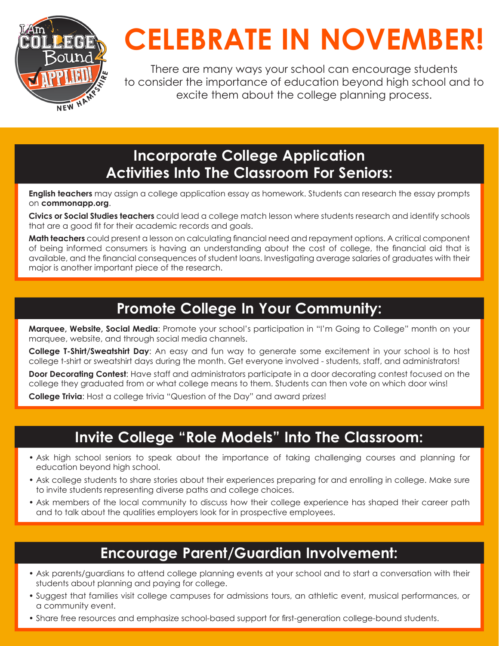

# **CELEBRATE IN NOVEMBER!**

There are many ways your school can encourage students to consider the importance of education beyond high school and to excite them about the college planning process.

# **Incorporate College Application Activities Into The Classroom For Seniors:**

**English teachers** may assign a college application essay as homework. Students can research the essay prompts on **commonapp.org**.

**Civics or Social Studies teachers** could lead a college match lesson where students research and identify schools that are a good fit for their academic records and goals.

**Math teachers** could present a lesson on calculating financial need and repayment options. A critical component of being informed consumers is having an understanding about the cost of college, the financial aid that is available, and the financial consequences of student loans. Investigating average salaries of graduates with their major is another important piece of the research.

# **Promote College In Your Community:**

**Marquee, Website, Social Media**: Promote your school's participation in "I'm Going to College" month on your marquee, website, and through social media channels.

**College T-Shirt/Sweatshirt Day**: An easy and fun way to generate some excitement in your school is to host college t-shirt or sweatshirt days during the month. Get everyone involved - students, staff, and administrators!

**Door Decorating Contest**: Have staff and administrators participate in a door decorating contest focused on the college they graduated from or what college means to them. Students can then vote on which door wins!

**College Trivia**: Host a college trivia "Question of the Day" and award prizes!

# **Invite College "Role Models" Into The Classroom:**

- Ask high school seniors to speak about the importance of taking challenging courses and planning for education beyond high school.
- Ask college students to share stories about their experiences preparing for and enrolling in college. Make sure to invite students representing diverse paths and college choices.
- Ask members of the local community to discuss how their college experience has shaped their career path and to talk about the qualities employers look for in prospective employees.

## **Encourage Parent/Guardian Involvement:**

- Ask parents/guardians to attend college planning events at your school and to start a conversation with their students about planning and paying for college.
- Suggest that families visit college campuses for admissions tours, an athletic event, musical performances, or a community event.
- Share free resources and emphasize school-based support for first-generation college-bound students.